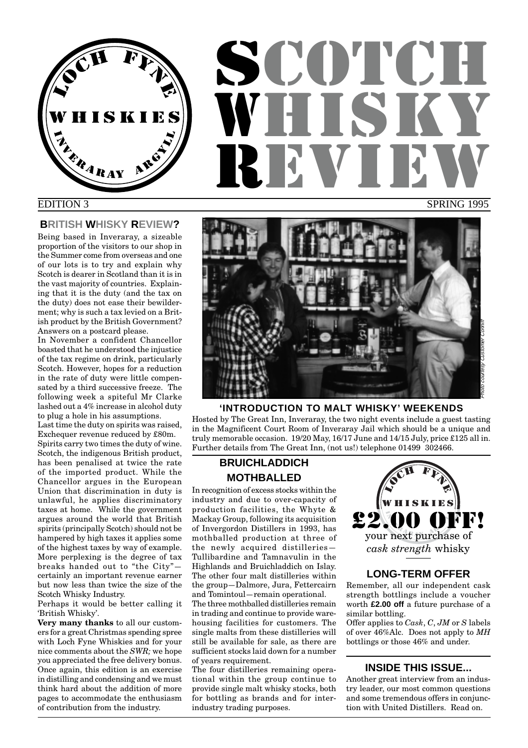

# **SCOTCH** WHISKY REVIEW SPRING 1995

#### EDITION 3

#### **BRITISH WHISKY REVIEW?**

Being based in Inveraray, a sizeable proportion of the visitors to our shop in the Summer come from overseas and one of our lots is to try and explain why Scotch is dearer in Scotland than it is in the vast majority of countries. Explaining that it is the duty (and the tax on the duty) does not ease their bewilderment; why is such a tax levied on a British product by the British Government? Answers on a postcard please.

In November a confident Chancellor boasted that he understood the injustice of the tax regime on drink, particularly Scotch. However, hopes for a reduction in the rate of duty were little compensated by a third successive freeze. The following week a spiteful Mr Clarke lashed out a 4% increase in alcohol duty to plug a hole in his assumptions.

Last time the duty on spirits was raised, Exchequer revenue reduced by £80m.

Spirits carry two times the duty of wine. Scotch, the indigenous British product, has been penalised at twice the rate of the imported product. While the Chancellor argues in the European Union that discrimination in duty is unlawful, he applies discriminatory taxes at home. While the government argues around the world that British spirits (principally Scotch) should not be hampered by high taxes it applies some of the highest taxes by way of example. More perplexing is the degree of tax breaks handed out to "the City" certainly an important revenue earner but now less than twice the size of the Scotch Whisky Industry.

Perhaps it would be better calling it 'British Whisky'.

**Very many thanks** to all our customers for a great Christmas spending spree with Loch Fyne Whiskies and for your nice comments about the *SWR;* we hope you appreciated the free delivery bonus. Once again, this edition is an exercise in distilling and condensing and we must think hard about the addition of more pages to accommodate the enthusiasm of contribution from the industry.



#### **'INTRODUCTION TO MALT WHISKY' WEEKENDS**

Hosted by The Great Inn, Inveraray, the two night events include a guest tasting in the Magnificent Court Room of Inveraray Jail which should be a unique and truly memorable occasion. 19/20 May, 16/17 June and 14/15 July, price £125 all in. Further details from The Great Inn, (not us!) telephone 01499 302466.

#### **BRUICHLADDICH MOTHBALLED**

In recognition of excess stocks within the industry and due to over-capacity of production facilities, the Whyte & Mackay Group, following its acquisition of Invergordon Distillers in 1993, has mothballed production at three of the newly acquired distilleries— Tullibardine and Tamnavulin in the Highlands and Bruichladdich on Islay. The other four malt distilleries within the group—Dalmore, Jura, Fettercairn and Tomintoul—remain operational.

The three mothballed distilleries remain in trading and continue to provide warehousing facilities for customers. The single malts from these distilleries will still be available for sale, as there are sufficient stocks laid down for a number of years requirement.

The four distilleries remaining operational within the group continue to provide single malt whisky stocks, both for bottling as brands and for interindustry trading purposes.



#### **LONG-TERM OFFER**

Remember, all our independent cask strength bottlings include a voucher worth **£2.00 off** a future purchase of a similar bottling.

Offer applies to *Cask*, *C*, *JM* or *S* labels of over 46%Alc. Does not apply to *MH* bottlings or those 46% and under.

#### **INSIDE THIS ISSUE...**

Another great interview from an industry leader, our most common questions and some tremendous offers in conjunction with United Distillers. Read on.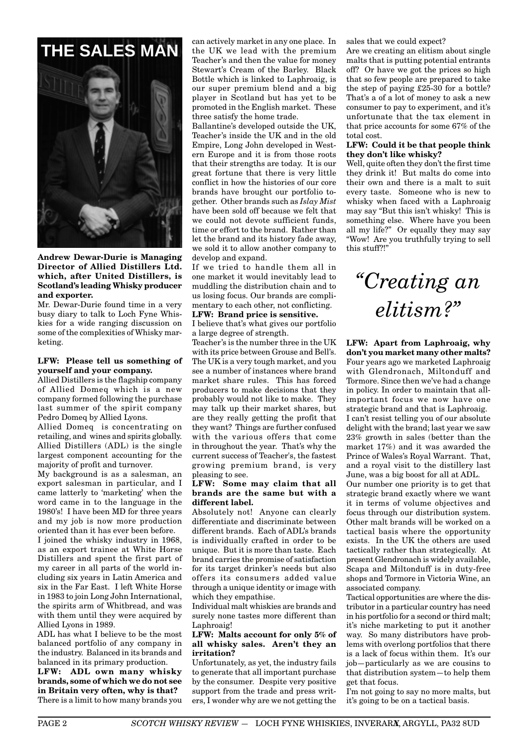

**Andrew Dewar-Durie is Managing Director of Allied Distillers Ltd. which, after United Distillers, is Scotland's leading Whisky producer and exporter.**

Mr. Dewar-Durie found time in a very busy diary to talk to Loch Fyne Whiskies for a wide ranging discussion on some of the complexities of Whisky marketing.

#### **LFW: Please tell us something of yourself and your company.**

Allied Distillers is the flagship company of Allied Domeq which is a new company formed following the purchase last summer of the spirit company Pedro Domeq by Allied Lyons.

Allied Domeq is concentrating on retailing, and wines and spirits globally. Allied Distillers (ADL) is the single largest component accounting for the majority of profit and turnover.

My background is as a salesman, an export salesman in particular, and I came latterly to 'marketing' when the word came in to the language in the 1980's! I have been MD for three years and my job is now more production oriented than it has ever been before.

I joined the whisky industry in 1968, as an export trainee at White Horse Distillers and spent the first part of my career in all parts of the world including six years in Latin America and six in the Far East. I left White Horse in 1983 to join Long John International, the spirits arm of Whitbread, and was with them until they were acquired by Allied Lyons in 1989.

ADL has what I believe to be the most balanced portfolio of any company in the industry. Balanced in its brands and balanced in its primary production.

**LFW: ADL own many whisky brands, some of which we do not see in Britain very often, why is that?** There is a limit to how many brands you can actively market in any one place. In the UK we lead with the premium Teacher's and then the value for money Stewart's Cream of the Barley. Black Bottle which is linked to Laphroaig, is our super premium blend and a big player in Scotland but has yet to be promoted in the English market. These three satisfy the home trade.

Ballantine's developed outside the UK, Teacher's inside the UK and in the old Empire, Long John developed in Western Europe and it is from those roots that their strengths are today. It is our great fortune that there is very little conflict in how the histories of our core brands have brought our portfolio together. Other brands such as *Islay Mist* have been sold off because we felt that we could not devote sufficient funds, time or effort to the brand. Rather than let the brand and its history fade away, we sold it to allow another company to develop and expand.

If we tried to handle them all in one market it would inevitably lead to muddling the distribution chain and to us losing focus. Our brands are complimentary to each other, not conflicting.

## **LFW: Brand price is sensitive.**

I believe that's what gives our portfolio a large degree of strength.

Teacher's is the number three in the UK with its price between Grouse and Bell's. The UK is a very tough market, and you see a number of instances where brand market share rules. This has forced producers to make decisions that they probably would not like to make. They may talk up their market shares, but are they really getting the profit that they want? Things are further confused with the various offers that come in throughout the year. That's why the current success of Teacher's, the fastest growing premium brand, is very pleasing to see.

#### **LFW: Some may claim that all brands are the same but with a different label.**

Absolutely not! Anyone can clearly differentiate and discriminate between different brands. Each of ADL's brands is individually crafted in order to be unique. But it is more than taste. Each brand carries the promise of satisfaction for its target drinker's needs but also offers its consumers added value through a unique identity or image with which they empathise.

Individual malt whiskies are brands and surely none tastes more different than Laphroaig!

#### **LFW: Malts account for only 5% of all whisky sales. Aren't they an irritation?**

Unfortunately, as yet, the industry fails to generate that all important purchase by the consumer. Despite very positive support from the trade and press writers, I wonder why are we not getting the

Are we creating an elitism about single malts that is putting potential entrants off? Or have we got the prices so high that so few people are prepared to take the step of paying £25-30 for a bottle? That's a of a lot of money to ask a new consumer to pay to experiment, and it's unfortunate that the tax element in that price accounts for some 67% of the total cost.

#### **LFW: Could it be that people think they don't like whisky?**

Well, quite often they don't the first time they drink it! But malts do come into their own and there is a malt to suit every taste. Someone who is new to whisky when faced with a Laphroaig may say "But this isn't whisky! This is something else. Where have you been all my life?" Or equally they may say "Wow! Are you truthfully trying to sell this stuff?!"

# *"Creating an elitism?"*

**LFW: Apart from Laphroaig, why don't you market many other malts?** Four years ago we marketed Laphroaig with Glendronach, Miltonduff and Tormore. Since then we've had a change in policy. In order to maintain that allimportant focus we now have one strategic brand and that is Laphroaig. I can't resist telling you of our absolute delight with the brand; last year we saw 23% growth in sales (better than the market 17%) and it was awarded the Prince of Wales's Royal Warrant. That,

and a royal visit to the distillery last June, was a big boost for all at ADL. Our number one priority is to get that strategic brand exactly where we want it in terms of volume objectives and focus through our distribution system. Other malt brands will be worked on a tactical basis where the opportunity exists. In the UK the others are used

tactically rather than strategically. At present Glendronach is widely available, Scapa and Miltonduff is in duty-free shops and Tormore in Victoria Wine, an associated company.

Tactical opportunities are where the distributor in a particular country has need in his portfolio for a second or third malt; it's niche marketing to put it another way. So many distributors have problems with overlong portfolios that there is a lack of focus within them. It's our job—particularly as we are cousins to that distribution system—to help them get that focus.

I'm not going to say no more malts, but it's going to be on a tactical basis.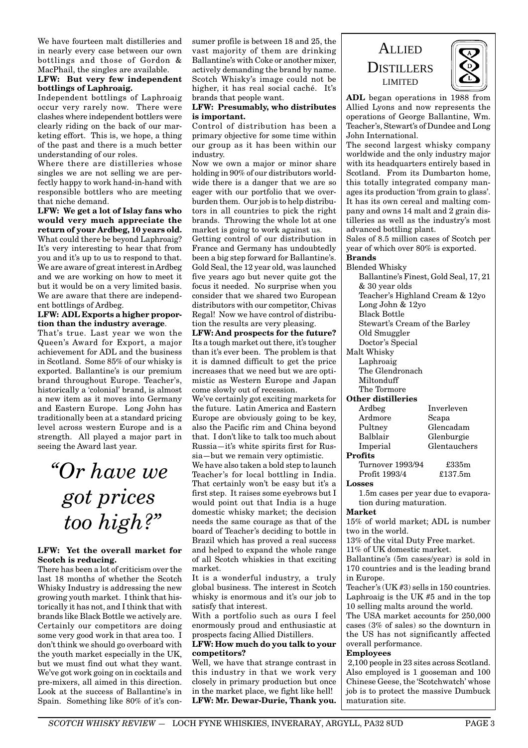We have fourteen malt distilleries and in nearly every case between our own bottlings and those of Gordon & MacPhail, the singles are available.

#### **LFW: But very few independent bottlings of Laphroaig.**

Independent bottlings of Laphroaig occur very rarely now. There were clashes where independent bottlers were clearly riding on the back of our marketing effort. This is, we hope, a thing of the past and there is a much better understanding of our roles.

Where there are distilleries whose singles we are not selling we are perfectly happy to work hand-in-hand with responsible bottlers who are meeting that niche demand.

**LFW: We get a lot of Islay fans who would very much appreciate the return of your Ardbeg, 10 years old.** What could there be beyond Laphroaig? It's very interesting to hear that from you and it's up to us to respond to that. We are aware of great interest in Ardbeg and we are working on how to meet it but it would be on a very limited basis. We are aware that there are independent bottlings of Ardbeg.

#### **LFW: ADL Exports a higher proportion than the industry average**.

That's true. Last year we won the Queen's Award for Export, a major achievement for ADL and the business in Scotland. Some 85% of our whisky is exported. Ballantine's is our premium brand throughout Europe. Teacher's, historically a 'colonial' brand, is almost a new item as it moves into Germany and Eastern Europe. Long John has traditionally been at a standard pricing level across western Europe and is a strength. All played a major part in seeing the Award last year.

*"Or have we got prices too high?"*

#### **LFW: Yet the overall market for Scotch is reducing.**

There has been a lot of criticism over the last 18 months of whether the Scotch Whisky Industry is addressing the new growing youth market. I think that historically it has not, and I think that with brands like Black Bottle we actively are. Certainly our competitors are doing some very good work in that area too. I don't think we should go overboard with the youth market especially in the UK, but we must find out what they want. We've got work going on in cocktails and pre-mixers, all aimed in this direction. Look at the success of Ballantine's in Spain. Something like 80% of it's consumer profile is between 18 and 25, the vast majority of them are drinking Ballantine's with Coke or another mixer, actively demanding the brand by name. Scotch Whisky's image could not be higher, it has real social caché. It's brands that people want.

#### **LFW: Presumably, who distributes is important.**

Control of distribution has been a primary objective for some time within our group as it has been within our industry.

Now we own a major or minor share holding in 90% of our distributors worldwide there is a danger that we are so eager with our portfolio that we overburden them. Our job is to help distributors in all countries to pick the right brands. Throwing the whole lot at one market is going to work against us.

Getting control of our distribution in France and Germany has undoubtedly been a big step forward for Ballantine's. Gold Seal, the 12 year old, was launched five years ago but never quite got the focus it needed. No surprise when you consider that we shared two European distributors with our competitor, Chivas Regal! Now we have control of distribution the results are very pleasing.

**LFW: And prospects for the future?** Its a tough market out there, it's tougher than it's ever been. The problem is that it is damned difficult to get the price increases that we need but we are optimistic as Western Europe and Japan come slowly out of recession.

We've certainly got exciting markets for the future. Latin America and Eastern Europe are obviously going to be key, also the Pacific rim and China beyond that. I don't like to talk too much about Russia—it's white spirits first for Russia—but we remain very optimistic.

We have also taken a bold step to launch Teacher's for local bottling in India. That certainly won't be easy but it's a first step. It raises some eyebrows but I would point out that India is a huge domestic whisky market; the decision needs the same courage as that of the board of Teacher's deciding to bottle in Brazil which has proved a real success and helped to expand the whole range of all Scotch whiskies in that exciting market.

It is a wonderful industry, a truly global business. The interest in Scotch whisky is enormous and it's our job to satisfy that interest.

With a portfolio such as ours I feel enormously proud and enthusiastic at prospects facing Allied Distillers.

#### **LFW: How much do you talk to your competitors?**

Well, we have that strange contrast in this industry in that we work very closely in primary production but once in the market place, we fight like hell! **LFW: Mr. Dewar-Durie, Thank you.**

ALLIED **DISTILLERS** LIMITED



**ADL** began operations in 1988 from Allied Lyons and now represents the operations of George Ballantine, Wm. Teacher's, Stewart's of Dundee and Long John International.

The second largest whisky company worldwide and the only industry major with its headquarters entirely based in Scotland. From its Dumbarton home, this totally integrated company manages its production 'from grain to glass'. It has its own cereal and malting company and owns 14 malt and 2 grain distilleries as well as the industry's most advanced bottling plant.

Sales of 8.5 million cases of Scotch per year of which over 80% is exported. **Brands**

Blended Whisky Ballantine's Finest, Gold Seal, 17, 21 & 30 year olds Teacher's Highland Cream & 12yo Long John & 12yo Black Bottle Stewart's Cream of the Barley Old Smuggler Doctor's Special Malt Whisky Laphroaig The Glendronach Miltonduff The Tormore **Other distilleries** Ardbeg Inverleven Ardmore Scapa Pultney Glencadam Balblair Glenburgie Imperial Glentauchers **Profits** Turnover 1993/94 £335m<br>Profit 1993/4 £137.5m Profit 1993/4 **Losses** 1.5m cases per year due to evaporation during maturation.

#### **Market**

15% of world market; ADL is number two in the world.

13% of the vital Duty Free market.

11% of UK domestic market.

Ballantine's (5m cases/year) is sold in 170 countries and is the leading brand in Europe.

Teacher's (UK #3) sells in 150 countries. Laphroaig is the UK #5 and in the top 10 selling malts around the world.

The USA market accounts for 250,000 cases (3% of sales) so the downturn in the US has not significantly affected overall performance.

#### **Employees**

2,100 people in 23 sites across Scotland. Also employed is 1 gooseman and 100 Chinese Geese, the 'Scotchwatch' whose job is to protect the massive Dumbuck maturation site.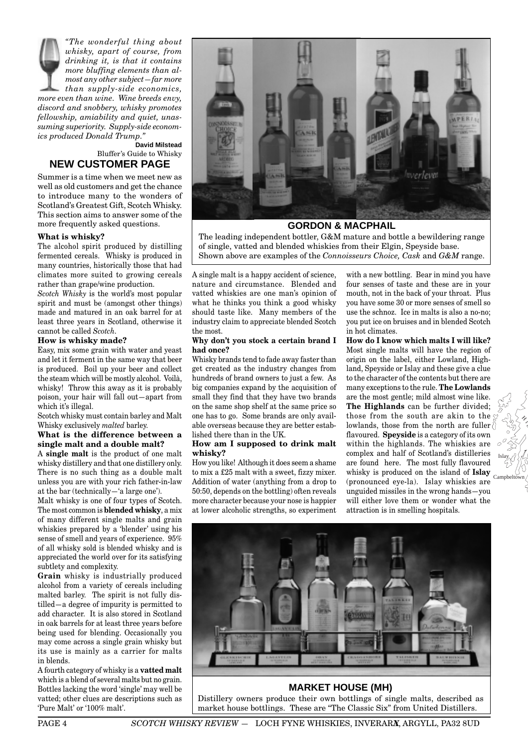*"The wonderful thing about whisky, apart of course, from drinking it, is that it contains more bluffing elements than almost any other subject—far more than supply-side economics, more even than wine. Wine breeds envy, discord and snobbery, whisky promotes fellowship, amiability and quiet, unassuming superiority. Supply-side economics produced Donald Trump."*

**David Milstead** Bluffer's Guide to Whisky **NEW CUSTOMER PAGE**

Summer is a time when we meet new as well as old customers and get the chance to introduce many to the wonders of Scotland's Greatest Gift, Scotch Whisky. This section aims to answer some of the more frequently asked questions.

#### **What is whisky?**

The alcohol spirit produced by distilling fermented cereals. Whisky is produced in many countries, historically those that had climates more suited to growing cereals rather than grape/wine production.

*Scotch Whisky* is the world's most popular spirit and must be (amongst other things) made and matured in an oak barrel for at least three years in Scotland, otherwise it cannot be called *Scotch.*

#### **How is whisky made?**

Easy, mix some grain with water and yeast and let it ferment in the same way that beer is produced. Boil up your beer and collect the steam which will be mostly alcohol. Voilà, whisky! Throw this away as it is probably poison, your hair will fall out—apart from which it's illegal.

Scotch whisky must contain barley and Malt Whisky exclusively *malted* barley.

#### **What is the difference between a single malt and a double malt?**

A **single malt** is the product of one malt whisky distillery and that one distillery only. There is no such thing as a double malt unless you are with your rich father-in-law at the bar (technically—'a large one').

Malt whisky is one of four types of Scotch. The most common is **blended whisky**, a mix of many different single malts and grain whiskies prepared by a 'blender' using his sense of smell and years of experience. 95% of all whisky sold is blended whisky and is appreciated the world over for its satisfying subtlety and complexity.

**Grain** whisky is industrially produced alcohol from a variety of cereals including malted barley. The spirit is not fully distilled—a degree of impurity is permitted to add character. It is also stored in Scotland in oak barrels for at least three years before being used for blending. Occasionally you may come across a single grain whisky but its use is mainly as a carrier for malts in blends.

A fourth category of whisky is a **vatted malt** which is a blend of several malts but no grain. Bottles lacking the word 'single' may well be vatted; other clues are descriptions such as 'Pure Malt' or '100% malt'.



**GORDON & MACPHAIL**

The leading independent bottler, G&M mature and bottle a bewildering range of single, vatted and blended whiskies from their Elgin, Speyside base. Shown above are examples of the *Connoisseurs Choice, Cask* and *G&M* range.

A single malt is a happy accident of science, nature and circumstance. Blended and vatted whiskies are one man's opinion of what he thinks you think a good whisky should taste like. Many members of the industry claim to appreciate blended Scotch the most.

#### **Why don't you stock a certain brand I had once?**

Whisky brands tend to fade away faster than get created as the industry changes from hundreds of brand owners to just a few. As big companies expand by the acquisition of small they find that they have two brands on the same shop shelf at the same price so one has to go. Some brands are only available overseas because they are better established there than in the UK.

#### **How am I supposed to drink malt whisky?**

How you like! Although it does seem a shame to mix a £25 malt with a sweet, fizzy mixer. Addition of water (anything from a drop to 50:50, depends on the bottling) often reveals more character because your nose is happier at lower alcoholic strengths, so experiment

with a new bottling. Bear in mind you have four senses of taste and these are in your mouth, not in the back of your throat. Plus you have some 30 or more senses of smell so use the schnoz. Ice in malts is also a no-no; you put ice on bruises and in blended Scotch in hot climates.

**How do I know which malts I will like?** Most single malts will have the region of origin on the label, either Lowland, Highland, Speyside or Islay and these give a clue to the character of the contents but there are many exceptions to the rule. **The Lowlands** are the most gentle; mild almost wine like. **The Highlands** can be further divided; those from the south are akin to the  $\zeta$ lowlands, those from the north are fuller flavoured. **Speyside** is a category of its own within the highlands. The whiskies are complex and half of Scotland's distilleries are found here. The most fully flavoured whisky is produced on the island of **Islay** Campbeltown (pronounced eye-la). Islay whiskies are unguided missiles in the wrong hands—you will either love them or wonder what the attraction is in smelling hospitals.

Islay

 $\phi$ g



#### **MARKET HOUSE (MH)**

Distillery owners produce their own bottlings of single malts, described as market house bottlings. These are "The Classic Six" from United Distillers.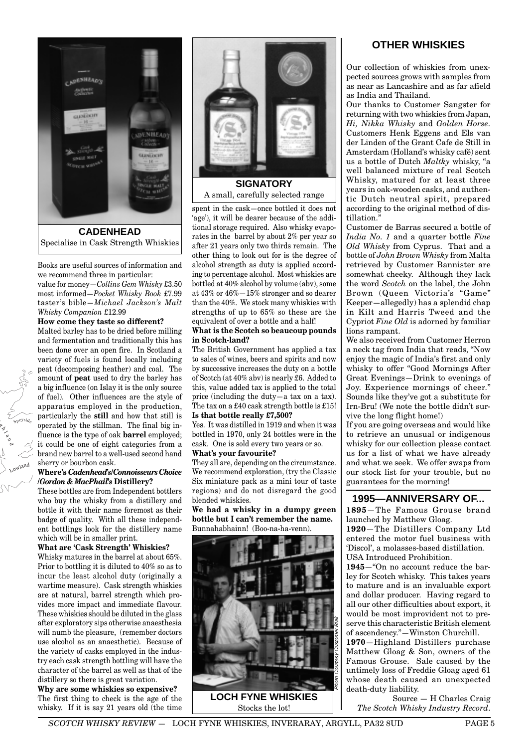

Books are useful sources of information and we recommend three in particular:

value for money—*Collins Gem Whisky* £3.50 most informed—*Pocket Whisky Book* £7.99 taster's bible—*Michael Jackson's Malt Whisky Companion* £12.99

#### **How come they taste so different?**

Malted barley has to be dried before milling and fermentation and traditionally this has been done over an open fire. In Scotland a variety of fuels is found locally including peat (decomposing heather) and coal. The amount of **peat** used to dry the barley has a big influence (on Islay it is the only source of fuel). Other influences are the style of apparatus employed in the production, particularly the **still** and how that still is operated by the stillman. The final big influence is the type of oak **barrel** employed; it could be one of eight categories from a brand new barrel to a well-used second hand sherry or bourbon cask.

Si

Lowland

o<br>T a n d  $x_1$ eyside

#### **Where's** *Cadenhead's/Connoisseurs Choice /Gordon & MacPhail's* **Distillery?**

These bottles are from Independent bottlers who buy the whisky from a distillery and bottle it with their name foremost as their badge of quality. With all these independent bottlings look for the distillery name which will be in smaller print.

#### **What are 'Cask Strength' Whiskies?**

Whisky matures in the barrel at about 65%. Prior to bottling it is diluted to 40% so as to incur the least alcohol duty (originally a wartime measure). Cask strength whiskies are at natural, barrel strength which provides more impact and immediate flavour. These whiskies should be diluted in the glass after exploratory sips otherwise anaesthesia will numb the pleasure, (remember doctors use alcohol as an anaesthetic). Because of the variety of casks employed in the industry each cask strength bottling will have the character of the barrel as well as that of the distillery so there is great variation.

**Why are some whiskies so expensive?** The first thing to check is the age of the whisky. If it is say 21 years old (the time



A small, carefully selected range

spent in the cask—once bottled it does not 'age'), it will be dearer because of the additional storage required. Also whisky evaporates in the barrel by about 2% per year so after 21 years only two thirds remain. The other thing to look out for is the degree of alcohol strength as duty is applied according to percentage alcohol. Most whiskies are bottled at 40% alcohol by volume (abv), some at 43% or 46%—15% stronger and so dearer than the 40%. We stock many whiskies with strengths of up to 65% so these are the equivalent of over a bottle and a half!

#### **What is the Scotch so beaucoup pounds in Scotch-land?**

The British Government has applied a tax to sales of wines, beers and spirits and now by successive increases the duty on a bottle of Scotch (at 40% abv) is nearly £6. Added to this, value added tax is applied to the total price (including the duty—a tax on a tax). The tax on a £40 cask strength bottle is £15! **Is that bottle really £7,500?**

Yes. It was distilled in 1919 and when it was bottled in 1970, only 24 bottles were in the cask. One is sold every two years or so. **What's your favourite?**

They all are, depending on the circumstance. We recommend exploration, (try the Classic Six miniature pack as a mini tour of taste regions) and do not disregard the good blended whiskies.

**We had a whisky in a dumpy green bottle but I can't remember the name.** Bunnahabhainn! (Boo-na-ha-venn).



#### **OTHER WHISKIES**

Our collection of whiskies from unexpected sources grows with samples from as near as Lancashire and as far afield as India and Thailand.

Our thanks to Customer Sangster for returning with two whiskies from Japan, *Hi, Nikka Whisky* and *Golden Horse.* Customers Henk Eggens and Els van der Linden of the Grant Cafe de Still in Amsterdam (Holland's whisky café) sent us a bottle of Dutch *Maltky* whisky, "a well balanced mixture of real Scotch Whisky, matured for at least three years in oak-wooden casks, and authentic Dutch neutral spirit, prepared according to the original method of distillation."

Customer de Barras secured a bottle of *India No. 1* and a quarter bottle *Fine Old Whisky* from Cyprus. That and a bottle of *John Brown Whisky* from Malta retrieved by Customer Bannister are somewhat cheeky. Although they lack the word *Scotch* on the label, the John Brown (Queen Victoria's "Game" Keeper—allegedly) has a splendid chap in Kilt and Harris Tweed and the Cypriot *Fine Old* is adorned by familiar lions rampant.

We also received from Customer Herron a neck tag from India that reads, "Now enjoy the magic of India's first and only whisky to offer "Good Mornings After Great Evenings—Drink to evenings of Joy. Experience mornings of cheer." Sounds like they've got a substitute for Irn-Bru! (We note the bottle didn't survive the long flight home!)

If you are going overseas and would like to retrieve an unusual or indigenous whisky for our collection please contact us for a list of what we have already and what we seek. We offer swaps from our stock list for your trouble, but no guarantees for the morning!

#### **1995—ANNIVERSARY OF...**

**1895**—The Famous Grouse brand launched by Matthew Gloag.

**1920**—The Distillers Company Ltd entered the motor fuel business with 'Discol', a molasses-based distillation. USA Introduced Prohibition.

**1945**—"On no account reduce the barley for Scotch whisky. This takes years to mature and is an invaluable export and dollar producer. Having regard to all our other difficulties about export, it would be most improvident not to preserve this characteristic British element of ascendency."—Winston Churchill.

**1970**—Highland Distillers purchase Matthew Gloag & Son, owners of the Famous Grouse. Sale caused by the untimely loss of Freddie Gloag aged 61 whose death caused an unexpected death-duty liability.

Source — H Charles Craig *The Scotch Whisky Industry Record*.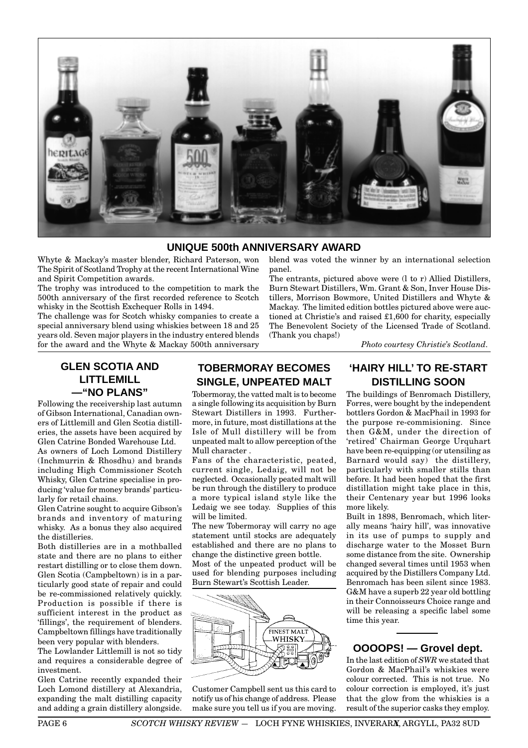

#### **UNIQUE 500th ANNIVERSARY AWARD**

Whyte & Mackay's master blender, Richard Paterson, won The Spirit of Scotland Trophy at the recent International Wine and Spirit Competition awards.

The trophy was introduced to the competition to mark the 500th anniversary of the first recorded reference to Scotch whisky in the Scottish Exchequer Rolls in 1494.

The challenge was for Scotch whisky companies to create a special anniversary blend using whiskies between 18 and 25 years old. Seven major players in the industry entered blends for the award and the Whyte & Mackay 500th anniversary

blend was voted the winner by an international selection panel.

The entrants, pictured above were (l to r) Allied Distillers, Burn Stewart Distillers, Wm. Grant & Son, Inver House Distillers, Morrison Bowmore, United Distillers and Whyte & Mackay. The limited edition bottles pictured above were auctioned at Christie's and raised £1,600 for charity, especially The Benevolent Society of the Licensed Trade of Scotland. (Thank you chaps!)

*Photo courtesy Christie's Scotland.*

#### **GLEN SCOTIA AND LITTLEMILL —"NO PLANS"**

Following the receivership last autumn of Gibson International, Canadian owners of Littlemill and Glen Scotia distilleries, the assets have been acquired by Glen Catrine Bonded Warehouse Ltd. As owners of Loch Lomond Distillery (Inchmurrin & Rhosdhu) and brands

including High Commissioner Scotch Whisky, Glen Catrine specialise in producing 'value for money brands' particularly for retail chains.

Glen Catrine sought to acquire Gibson's brands and inventory of maturing whisky. As a bonus they also acquired the distilleries.

Both distilleries are in a mothballed state and there are no plans to either restart distilling or to close them down. Glen Scotia (Campbeltown) is in a particularly good state of repair and could be re-commissioned relatively quickly. Production is possible if there is sufficient interest in the product as 'fillings', the requirement of blenders. Campbeltown fillings have traditionally been very popular with blenders.

The Lowlander Littlemill is not so tidy and requires a considerable degree of investment.

Glen Catrine recently expanded their Loch Lomond distillery at Alexandria, expanding the malt distilling capacity and adding a grain distillery alongside.

### **TOBERMORAY BECOMES SINGLE, UNPEATED MALT**

Tobermoray, the vatted malt is to become a single following its acquisition by Burn Stewart Distillers in 1993. Furthermore, in future, most distillations at the Isle of Mull distillery will be from unpeated malt to allow perception of the Mull character .

Fans of the characteristic, peated, current single, Ledaig, will not be neglected. Occasionally peated malt will be run through the distillery to produce a more typical island style like the Ledaig we see today. Supplies of this will be limited.

The new Tobermoray will carry no age statement until stocks are adequately established and there are no plans to change the distinctive green bottle.

Most of the unpeated product will be used for blending purposes including Burn Stewart's Scottish Leader.



Customer Campbell sent us this card to notify us of his change of address. Please make sure you tell us if you are moving.

#### **'HAIRY HILL' TO RE-START DISTILLING SOON**

The buildings of Benromach Distillery, Forres, were bought by the independent bottlers Gordon & MacPhail in 1993 for the purpose re-commisioning. Since then G&M, under the direction of 'retired' Chairman George Urquhart have been re-equipping (or utensiling as Barnard would say) the distillery, particularly with smaller stills than before. It had been hoped that the first distillation might take place in this, their Centenary year but 1996 looks more likely.

Built in 1898, Benromach, which literally means 'hairy hill', was innovative in its use of pumps to supply and discharge water to the Mosset Burn some distance from the site. Ownership changed several times until 1953 when acquired by the Distillers Company Ltd. Benromach has been silent since 1983. G&M have a superb 22 year old bottling in their Connoisseurs Choice range and will be releasing a specific label some time this year.

#### **OOOOPS! — Grovel dept.**

In the last edition of *SWR* we stated that Gordon & MacPhail's whiskies were colour corrected. This is not true. No colour correction is employed, it's just that the glow from the whiskies is a result of the superior casks they employ.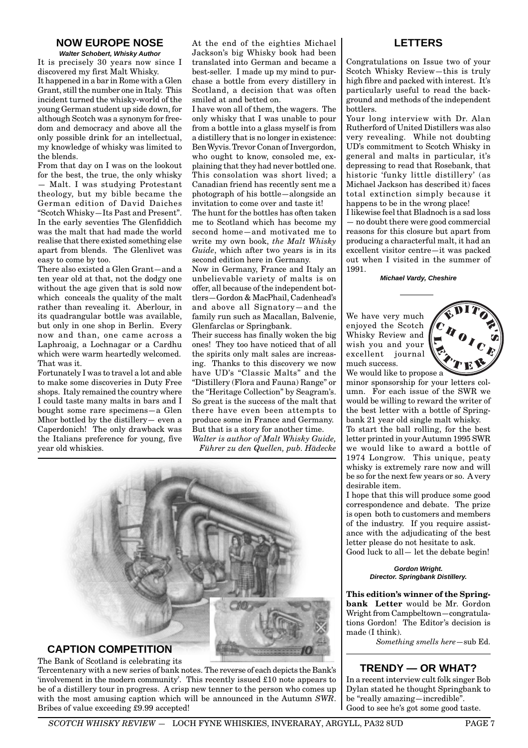#### **NOW EUROPE NOSE**

**Walter Schobert, Whisky Author** It is precisely 30 years now since I discovered my first Malt Whisky. It happened in a bar in Rome with a Glen Grant, still the number one in Italy. This incident turned the whisky-world of the young German student up side down, for although Scotch was a synonym for freedom and democracy and above all the only possible drink for an intellectual, my knowledge of whisky was limited to the blends.

From that day on I was on the lookout for the best, the true, the only whisky — Malt. I was studying Protestant theology, but my bible became the German edition of David Daiches "Scotch Whisky—Its Past and Present". In the early seventies The Glenfiddich was the malt that had made the world realise that there existed something else apart from blends. The Glenlivet was easy to come by too.

There also existed a Glen Grant—and a ten year old at that, not the dodgy one without the age given that is sold now which conceals the quality of the malt rather than revealing it. Aberlour, in its quadrangular bottle was available, but only in one shop in Berlin. Every now and than, one came across a Laphroaig, a Lochnagar or a Cardhu which were warm heartedly welcomed. That was it.

Fortunately I was to travel a lot and able to make some discoveries in Duty Free shops. Italy remained the country where I could taste many malts in bars and I bought some rare specimens—a Glen Mhor bottled by the distillery— even a Caperdonich! The only drawback was the Italians preference for young, five year old whiskies.

At the end of the eighties Michael Jackson's big Whisky book had been translated into German and became a best-seller. I made up my mind to purchase a bottle from every distillery in Scotland, a decision that was often smiled at and betted on.

I have won all of them, the wagers. The only whisky that I was unable to pour from a bottle into a glass myself is from a distillery that is no longer in existence: BenWyvis.Trevor Conan of Invergordon, who ought to know, consoled me, explaining that they had never bottled one. This consolation was short lived; a Canadian friend has recently sent me a photograph of his bottle—alongside an invitation to come over and taste it!

The hunt for the bottles has often taken me to Scotland which has become my second home—and motivated me to write my own book, *the Malt Whisky Guide*, which after two years is in its second edition here in Germany.

Now in Germany, France and Italy an unbelievable variety of malts is on offer, all because of the independent bottlers—Gordon & MacPhail, Cadenhead's and above all Signatory—and the family run such as Macallan, Balvenie, Glenfarclas or Springbank.

Their success has finally woken the big ones! They too have noticed that of all the spirits only malt sales are increasing. Thanks to this discovery we now have UD's "Classic Malts" and the "Distillery (Flora and Fauna) Range" or the "Heritage Collection" by Seagram's. So great is the success of the malt that there have even been attempts to produce some in France and Germany. But that is a story for another time.

*Walter is author of Malt Whisky Guide, Führer zu den Quellen, pub. Hädecke*



The Bank of Scotland is celebrating its

Tercentenary with a new series of bank notes. The reverse of each depicts the Bank's 'involvement in the modern community'. This recently issued £10 note appears to be of a distillery tour in progress. A crisp new tenner to the person who comes up with the most amusing caption which will be announced in the Autumn *SWR*. Bribes of value exceeding £9.99 accepted!

#### **LETTERS**

Congratulations on Issue two of your Scotch Whisky Review—this is truly high fibre and packed with interest. It's particularly useful to read the background and methods of the independent bottlers.

Your long interview with Dr. Alan Rutherford of United Distillers was also very revealing. While not doubting UD's commitment to Scotch Whisky in general and malts in particular, it's depressing to read that Rosebank, that historic 'funky little distillery' (as Michael Jackson has described it) faces total extinction simply because it happens to be in the wrong place!

I likewise feel that Bladnoch is a sad loss — no doubt there were good commercial reasons for this closure but apart from producing a characterful malt, it had an excellent visitor centre—it was packed out when I visited in the summer of 1991.

**Michael Vardy, Cheshire**

We have very much enjoyed the Scotch Whisky Review and wish you and your excellent journal much success. We would like to propose a



minor sponsorship for your letters column. For each issue of the SWR we would be willing to reward the writer of the best letter with a bottle of Springbank 21 year old single malt whisky. To start the ball rolling, for the best letter printed in your Autumn 1995 SWR we would like to award a bottle of 1974 Longrow. This unique, peaty whisky is extremely rare now and will be so for the next few years or so. A very desirable item.

I hope that this will produce some good correspondence and debate. The prize is open both to customers and members of the industry. If you require assistance with the adjudicating of the best letter please do not hesitate to ask. Good luck to all— let the debate begin!

> **Gordon Wright. Director. Springbank Distillery.**

**This edition's winner of the Springbank Letter** would be Mr. Gordon Wright from Campbeltown—congratulations Gordon! The Editor's decision is made (I think).

*Something smells here*—sub Ed.

#### **TRENDY — OR WHAT?**

In a recent interview cult folk singer Bob Dylan stated he thought Springbank to be "really amazing—incredible". Good to see he's got some good taste.